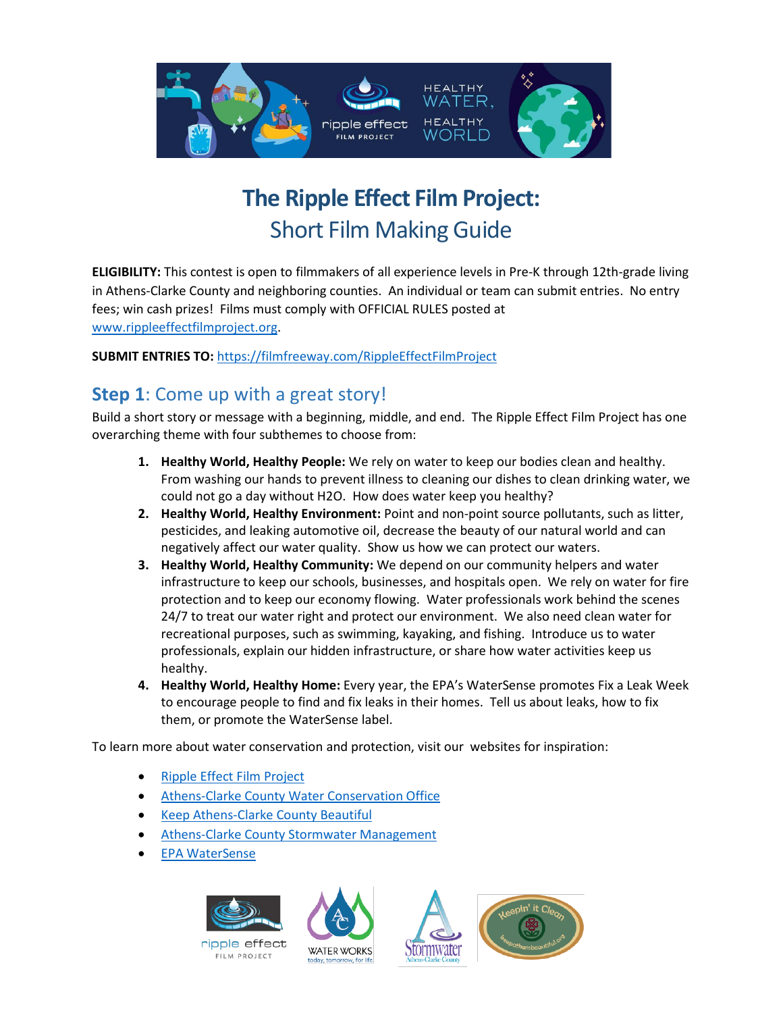

# **The Ripple Effect Film Project:**  Short Film Making Guide

**ELIGIBILITY:** This contest is open to filmmakers of all experience levels in Pre-K through 12th-grade living in Athens-Clarke County and neighboring counties. An individual or team can submit entries. No entry fees; win cash prizes! Films must comply with OFFICIAL RULES posted at [www.rippleeffectfilmproject.org.](http://www.rippleeffectfilmproject.org/)

#### **SUBMIT ENTRIES TO:** <https://filmfreeway.com/RippleEffectFilmProject>

### **Step 1**: Come up with a great story!

Build a short story or message with a beginning, middle, and end. The Ripple Effect Film Project has one overarching theme with four subthemes to choose from:

- **1. Healthy World, Healthy People:** We rely on water to keep our bodies clean and healthy. From washing our hands to prevent illness to cleaning our dishes to clean drinking water, we could not go a day without H2O. How does water keep you healthy?
- **2. Healthy World, Healthy Environment:** Point and non-point source pollutants, such as litter, pesticides, and leaking automotive oil, decrease the beauty of our natural world and can negatively affect our water quality. Show us how we can protect our waters.
- **3. Healthy World, Healthy Community:** We depend on our community helpers and water infrastructure to keep our schools, businesses, and hospitals open. We rely on water for fire protection and to keep our economy flowing. Water professionals work behind the scenes 24/7 to treat our water right and protect our environment. We also need clean water for recreational purposes, such as swimming, kayaking, and fishing. Introduce us to water professionals, explain our hidden infrastructure, or share how water activities keep us healthy.
- **4. Healthy World, Healthy Home:** Every year, the EPA's WaterSense promotes Fix a Leak Week to encourage people to find and fix leaks in their homes. Tell us about leaks, how to fix them, or promote the WaterSense label.

To learn more about water conservation and protection, visit our websites for inspiration:

- [Ripple Effect Film Project](https://www.accgov.com/4767/Ripple-Effect-Film-Project)
- [Athens-Clarke County Water Conservation Office](https://www.accgov.com/4671/About-the-Water-Conservation-Office)
- **[Keep Athens-Clarke County Beautiful](https://www.accgov.com/179/Keep-Athens-Clarke-County-Beautiful-KACC)**
- [Athens-Clarke County Stormwater Management](https://www.athensclarkecounty.com/1764/Stormwater-Management)
- [EPA WaterSense](https://www.epa.gov/watersense)



ripple effect **FILM PROJECT** 





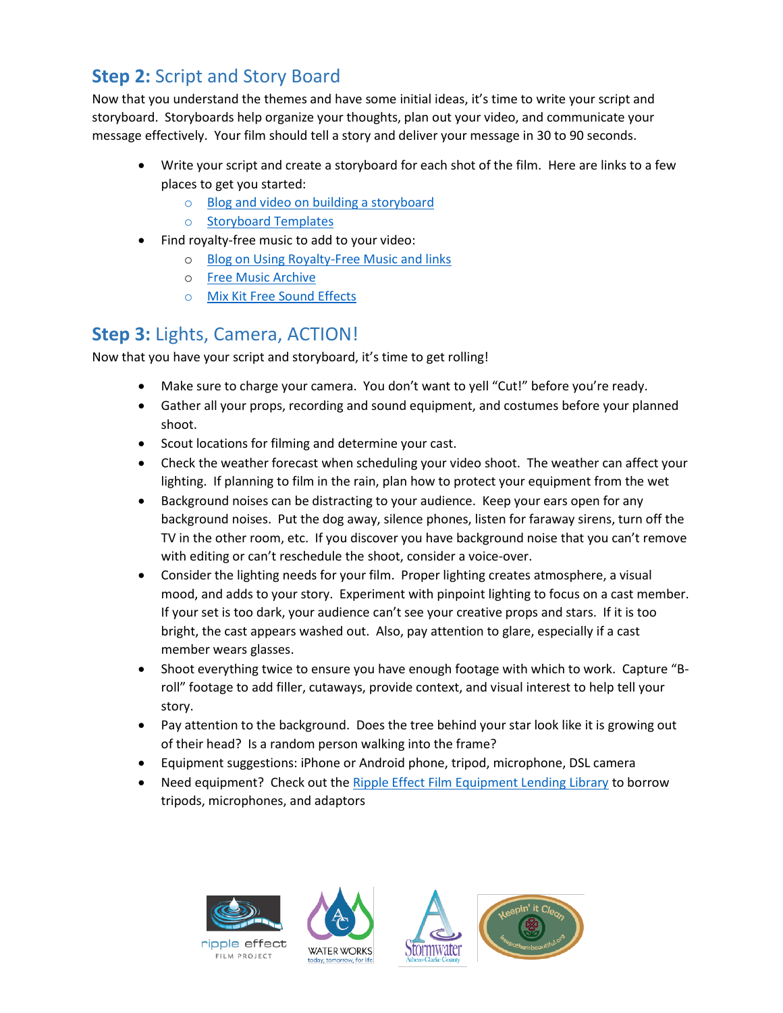# **Step 2:** Script and Story Board

Now that you understand the themes and have some initial ideas, it's time to write your script and storyboard. Storyboards help organize your thoughts, plan out your video, and communicate your message effectively. Your film should tell a story and deliver your message in 30 to 90 seconds.

- Write your script and create a storyboard for each shot of the film. Here are links to a few places to get you started:
	- o [Blog and video on building a storyboard](https://wave.video/blog/what-is-a-storyboard/)
	- o [Storyboard Templates](https://templatelab.com/storyboard-templates/)
- Find royalty-free music to add to your video:
	- o [Blog on Using Royalty-Free Music and links](https://www.uscreen.tv/blog/free-music-for-video-editing/)
	- o [Free Music Archive](https://freemusicarchive.org/curator/Video)
	- o [Mix Kit Free Sound Effects](https://mixkit.co/free-sound-effects/)

### **Step 3:** Lights, Camera, ACTION!

Now that you have your script and storyboard, it's time to get rolling!

- Make sure to charge your camera. You don't want to yell "Cut!" before you're ready.
- Gather all your props, recording and sound equipment, and costumes before your planned shoot.
- Scout locations for filming and determine your cast.
- Check the weather forecast when scheduling your video shoot. The weather can affect your lighting. If planning to film in the rain, plan how to protect your equipment from the wet
- Background noises can be distracting to your audience. Keep your ears open for any background noises. Put the dog away, silence phones, listen for faraway sirens, turn off the TV in the other room, etc. If you discover you have background noise that you can't remove with editing or can't reschedule the shoot, consider a voice-over.
- Consider the lighting needs for your film. Proper lighting creates atmosphere, a visual mood, and adds to your story. Experiment with pinpoint lighting to focus on a cast member. If your set is too dark, your audience can't see your creative props and stars. If it is too bright, the cast appears washed out. Also, pay attention to glare, especially if a cast member wears glasses.
- Shoot everything twice to ensure you have enough footage with which to work. Capture "Broll" footage to add filler, cutaways, provide context, and visual interest to help tell your story.
- Pay attention to the background. Does the tree behind your star look like it is growing out of their head? Is a random person walking into the frame?
- Equipment suggestions: iPhone or Android phone, tripod, microphone, DSL camera
- Need equipment? Check out the [Ripple Effect Film Equipment Lending Library](https://www.accgov.com/9140/Film-Equipment-Lending-Library) to borrow tripods, microphones, and adaptors